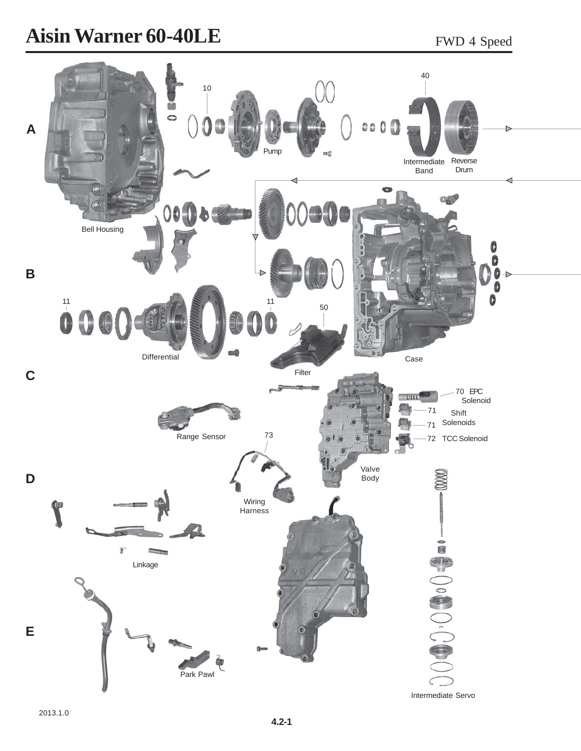## **Aisin Warner 60-40LE** FWD 4 Speed

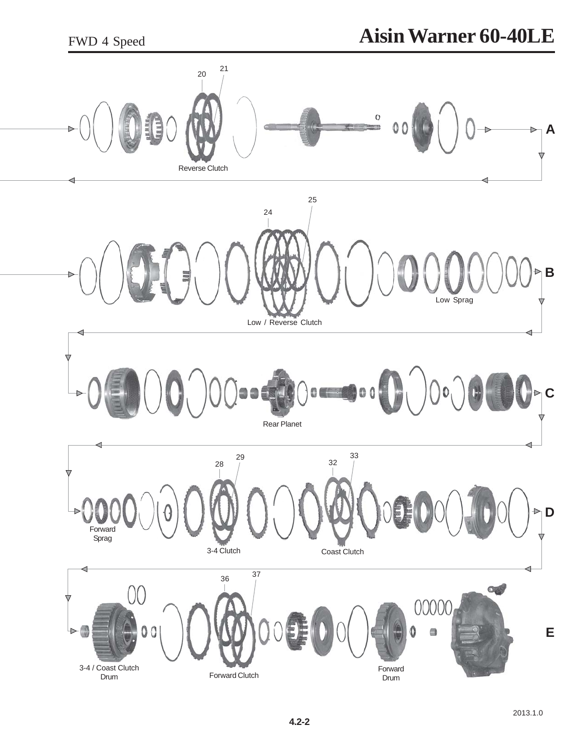